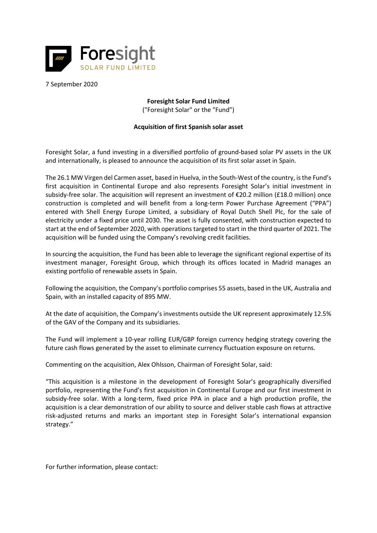

7 September 2020

## **Foresight Solar Fund Limited**

("Foresight Solar" or the "Fund")

## **Acquisition of first Spanish solar asset**

Foresight Solar, a fund investing in a diversified portfolio of ground-based solar PV assets in the UK and internationally, is pleased to announce the acquisition of its first solar asset in Spain.

The 26.1 MW Virgen del Carmen asset, based in Huelva, in the South-West of the country, is the Fund's first acquisition in Continental Europe and also represents Foresight Solar's initial investment in subsidy-free solar. The acquisition will represent an investment of €20.2 million (£18.0 million) once construction is completed and will benefit from a long-term Power Purchase Agreement ("PPA") entered with Shell Energy Europe Limited, a subsidiary of Royal Dutch Shell Plc, for the sale of electricity under a fixed price until 2030. The asset is fully consented, with construction expected to start at the end of September 2020, with operations targeted to start in the third quarter of 2021. The acquisition will be funded using the Company's revolving credit facilities.

In sourcing the acquisition, the Fund has been able to leverage the significant regional expertise of its investment manager, Foresight Group, which through its offices located in Madrid manages an existing portfolio of renewable assets in Spain.

Following the acquisition, the Company's portfolio comprises 55 assets, based in the UK, Australia and Spain, with an installed capacity of 895 MW.

At the date of acquisition, the Company's investments outside the UK represent approximately 12.5% of the GAV of the Company and its subsidiaries.

The Fund will implement a 10-year rolling EUR/GBP foreign currency hedging strategy covering the future cash flows generated by the asset to eliminate currency fluctuation exposure on returns.

Commenting on the acquisition, Alex Ohlsson, Chairman of Foresight Solar, said:

"This acquisition is a milestone in the development of Foresight Solar's geographically diversified portfolio, representing the Fund's first acquisition in Continental Europe and our first investment in subsidy-free solar. With a long-term, fixed price PPA in place and a high production profile, the acquisition is a clear demonstration of our ability to source and deliver stable cash flows at attractive risk-adjusted returns and marks an important step in Foresight Solar's international expansion strategy."

For further information, please contact: